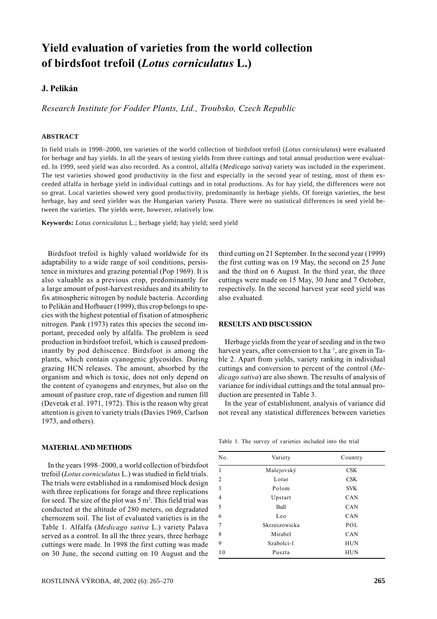# Yield evaluation of varieties from the world collection of birdsfoot trefoil (Lotus corniculatus L.)

# J. Pelikán

Research Institute for Fodder Plants, Ltd., Troubsko, Czech Republic

### **ABSTRACT**

In field trials in 1998–2000, ten varieties of the world collection of birdsfoot trefoil (*Lotus corniculatus*) were evaluated for herbage and hay yields. In all the years of testing yields from three cuttings and total annual production were evaluated. In 1999, seed yield was also recorded. As a control, alfalfa (*Medicago sativa*) variety was included in the experiment. The test varieties showed good productivity in the first and especially in the second year of testing, most of them exceeded alfalfa in herbage yield in individual cuttings and in total productions. As for hay yield, the differences were not so great. Local varieties showed very good productivity, predominantly in herbage yields. Of foreign varieties, the best herbage, hay and seed yielder was the Hungarian variety Puszta. There were no statistical differences in seed yield between the varieties. The yields were, however, relatively low.

**Keywords:** *Lotus corniculatus* L.; herbage yield; hay yield; seed yield

Birdsfoot trefoil is highly valued worldwide for its adaptability to a wide range of soil conditions, persistence in mixtures and grazing potential (Pop 1969). It is also valuable as a previous crop, predominantly for a large amount of post-harvest residues and its ability to fix atmospheric nitrogen by nodule bacteria. According to Pelikán and Hofbauer (1999), this crop belongs to species with the highest potential of fixation of atmospheric nitrogen. Pank (1973) rates this species the second important, preceded only by alfalfa. The problem is seed production in birdsfoot trefoil, which is caused predominantly by pod dehiscence. Birdsfoot is among the plants, which contain cyanogenic glycosides. During grazing HCN releases. The amount, absorbed by the organism and which is toxic, does not only depend on the content of cyanogens and enzymes, but also on the amount of pasture crop, rate of digestion and rumen fill (Devetak et al. 1971, 1972). This is the reason why great attention is given to variety trials (Davies 1969, Carlson  $1973$ , and others).

### **MATERIAL AND METHODS**

In the years 1998-2000, a world collection of birdsfoot trefoil (Lotus corniculatus L.) was studied in field trials. The trials were established in a randomised block design with three replications for forage and three replications for seed. The size of the plot was  $5 \text{ m}^2$ . This field trial was conducted at the altitude of 280 meters, on degradated chernozem soil. The list of evaluated varieties is in the Table 1. Alfalfa (Medicago sativa L.) variety Palava served as a control. In all the three years, three herbage cuttings were made. In 1998 the first cutting was made on 30 June, the second cutting on 10 August and the third cutting on 21 September. In the second year (1999) the first cutting was on 19 May, the second on 25 June and the third on 6 August. In the third year, the three cuttings were made on 15 May, 30 June and 7 October, respectively. In the second harvest year seed yield was also evaluated.

#### RESULTS AND DISCUSSION

Herbage yields from the year of seeding and in the two harvest years, after conversion to t.ha<sup>-1</sup>, are given in Table 2. Apart from yields, variety ranking in individual cuttings and conversion to percent of the control (Medicago sativa) are also shown. The results of analysis of variance for individual cuttings and the total annual production are presented in Table 3.

In the year of establishment, analysis of variance did not reveal any statistical differences between varieties

Table 1. The survey of varieties included into the trial

| No. | Variety       | Country    |
|-----|---------------|------------|
|     | Malejovský    | CSK        |
|     | Lotar         | CSK        |
|     | Polom         | <b>SVK</b> |
|     | Upstart       | CAN        |
|     | Bull          | <b>CAN</b> |
|     | Leo           | CAN        |
|     | Skrzeszowicka | POL        |
|     | Mirabel       | CAN        |
|     | Szabolci-1    | <b>HUN</b> |
| 10  | Puszta        | HUN        |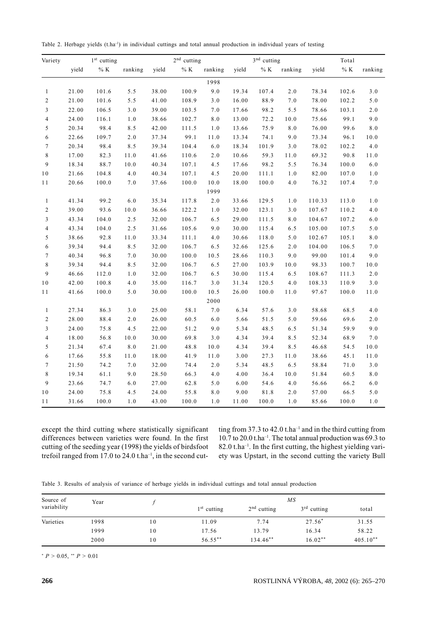Table 2. Herbage yields (t.ha<sup>-1</sup>) in individual cuttings and total annual production in individual years of testing

| Variety        |       | $1st$ cutting |          |       | $2^{\rm nd}$ cutting |         |       | 3 <sup>nd</sup> cutting |          | Total  |        |          |
|----------------|-------|---------------|----------|-------|----------------------|---------|-------|-------------------------|----------|--------|--------|----------|
|                | yield | $\%$ K        | ranking  | yield | $\%$ K               | ranking | yield | $\%$ K                  | ranking  | yield  | $\%$ K | ranking  |
|                |       |               |          |       |                      | 1998    |       |                         |          |        |        |          |
| $\mathbf{1}$   | 21.00 | 101.6         | 5.5      | 38.00 | 100.9                | 9.0     | 19.34 | 107.4                   | 2.0      | 78.34  | 102.6  | 3.0      |
| $\overline{c}$ | 21.00 | 101.6         | 5.5      | 41.00 | 108.9                | 3.0     | 16.00 | 88.9                    | 7.0      | 78.00  | 102.2  | 5.0      |
| $\mathfrak{Z}$ | 22.00 | 106.5         | 3.0      | 39.00 | 103.5                | 7.0     | 17.66 | 98.2                    | 5.5      | 78.66  | 103.1  | 2.0      |
| $\overline{4}$ | 24.00 | 116.1         | 1.0      | 38.66 | 102.7                | 8.0     | 13.00 | 72.2                    | 10.0     | 75.66  | 99.1   | 9.0      |
| 5              | 20.34 | 98.4          | 8.5      | 42.00 | 111.5                | 1.0     | 13.66 | 75.9                    | $8.0\,$  | 76.00  | 99.6   | $8.0\,$  |
| 6              | 22.66 | 109.7         | 2.0      | 37.34 | 99.1                 | 11.0    | 13.34 | 74.1                    | 9.0      | 73.34  | 96.1   | $10.0$   |
| $\tau$         | 20.34 | 98.4          | 8.5      | 39.34 | 104.4                | 6.0     | 18.34 | 101.9                   | 3.0      | 78.02  | 102.2  | 4.0      |
| $\,$ 8 $\,$    | 17.00 | 82.3          | 11.0     | 41.66 | 110.6                | 2.0     | 10.66 | 59.3                    | $11.0\,$ | 69.32  | 90.8   | $1\,1.0$ |
| 9              | 18.34 | 88.7          | $10.0\,$ | 40.34 | 107.1                | 4.5     | 17.66 | 98.2                    | 5.5      | 76.34  | 100.0  | 6.0      |
| 10             | 21.66 | 104.8         | 4.0      | 40.34 | 107.1                | 4.5     | 20.00 | 111.1                   | $1.0\,$  | 82.00  | 107.0  | $1.0$    |
| 11             | 20.66 | 100.0         | 7.0      | 37.66 | 100.0                | 10.0    | 18.00 | 100.0                   | 4.0      | 76.32  | 107.4  | 7.0      |
|                |       |               |          |       |                      | 1999    |       |                         |          |        |        |          |
| $\mathbf{1}$   | 41.34 | 99.2          | 6.0      | 35.34 | 117.8                | 2.0     | 33.66 | 129.5                   | 1.0      | 110.33 | 113.0  | 1.0      |
| $\overline{c}$ | 39.00 | 93.6          | $10.0\,$ | 36.66 | 122.2                | 1.0     | 32.00 | 123.1                   | 3.0      | 107.67 | 110.2  | 4.0      |
| $\mathfrak{Z}$ | 43.34 | 104.0         | 2.5      | 32.00 | 106.7                | 6.5     | 29.00 | 111.5                   | $8.0\,$  | 104.67 | 107.2  | 6.0      |
| $\overline{4}$ | 43.34 | 104.0         | 2.5      | 31.66 | 105.6                | 9.0     | 30.00 | 115.4                   | 6.5      | 105.00 | 107.5  | 5.0      |
| $\sqrt{5}$     | 38.66 | 92.8          | $1\,1.0$ | 33.34 | 111.1                | 4.0     | 30.66 | 118.0                   | $5.0\,$  | 102.67 | 105.1  | $8.0\,$  |
| 6              | 39.34 | 94.4          | 8.5      | 32.00 | 106.7                | 6.5     | 32.66 | 125.6                   | 2.0      | 104.00 | 106.5  | 7.0      |
| $\tau$         | 40.34 | 96.8          | 7.0      | 30.00 | 100.0                | 10.5    | 28.66 | 110.3                   | 9.0      | 99.00  | 101.4  | 9.0      |
| $\,$ 8 $\,$    | 39.34 | 94.4          | 8.5      | 32.00 | 106.7                | 6.5     | 27.00 | 103.9                   | $10.0\,$ | 98.33  | 100.7  | $10.0$   |
| 9              | 46.66 | 112.0         | 1.0      | 32.00 | 106.7                | 6.5     | 30.00 | 115.4                   | 6.5      | 108.67 | 111.3  | 2.0      |
| 10             | 42.00 | 100.8         | 4.0      | 35.00 | 116.7                | 3.0     | 31.34 | 120.5                   | 4.0      | 108.33 | 110.9  | 3.0      |
| 11             | 41.66 | 100.0         | 5.0      | 30.00 | 100.0                | 10.5    | 26.00 | 100.0                   | 11.0     | 97.67  | 100.0  | 11.0     |
|                |       |               |          |       |                      | 2000    |       |                         |          |        |        |          |
| $\mathbf{1}$   | 27.34 | 86.3          | 3.0      | 25.00 | 58.1                 | 7.0     | 6.34  | 57.6                    | 3.0      | 58.68  | 68.5   | 4.0      |
| $\overline{c}$ | 28.00 | 88.4          | 2.0      | 26.00 | 60.5                 | $6.0\,$ | 5.66  | 51.5                    | $5.0$    | 59.66  | 69.6   | 2.0      |
| $\mathfrak{Z}$ | 24.00 | 75.8          | 4.5      | 22.00 | 51.2                 | 9.0     | 5.34  | 48.5                    | 6.5      | 51.34  | 59.9   | 9.0      |
| $\overline{4}$ | 18.00 | 56.8          | $10.0\,$ | 30.00 | 69.8                 | 3.0     | 4.34  | 39.4                    | 8.5      | 52.34  | 68.9   | 7.0      |
| $\sqrt{5}$     | 21.34 | 67.4          | 8.0      | 21.00 | 48.8                 | 10.0    | 4.34  | 39.4                    | 8.5      | 46.68  | 54.5   | 10.0     |
| 6              | 17.66 | 55.8          | 11.0     | 18.00 | 41.9                 | 11.0    | 3.00  | 27.3                    | 11.0     | 38.66  | 45.1   | 11.0     |
| $\tau$         | 21.50 | 74.2          | 7.0      | 32.00 | 74.4                 | 2.0     | 5.34  | 48.5                    | 6.5      | 58.84  | 71.0   | 3.0      |
| $\,$ 8 $\,$    | 19.34 | 61.1          | 9.0      | 28.50 | 66.3                 | 4.0     | 4.00  | 36.4                    | 10.0     | 51.84  | 60.5   | $8\,.0$  |
| 9              | 23.66 | 74.7          | 6.0      | 27.00 | 62.8                 | 5.0     | 6.00  | 54.6                    | 4.0      | 56.66  | 66.2   | $6.0$    |
| 10             | 24.00 | 75.8          | 4.5      | 24.00 | 55.8                 | 8.0     | 9.00  | 81.8                    | $2.0$    | 57.00  | 66.5   | 5.0      |
| 11             | 31.66 | 100.0         | 1.0      | 43.00 | 100.0                | 1.0     | 11.00 | 100.0                   | 1.0      | 85.66  | 100.0  | 1.0      |

except the third cutting where statistically significant differences between varieties were found. In the first cutting of the seeding year (1998) the yields of birdsfoot trefoil ranged from 17.0 to 24.0 t.ha<sup>-1</sup>, in the second cutting from 37.3 to 42.0 t.ha<sup>-1</sup> and in the third cutting from 10.7 to 20.0 t.ha<sup>-1</sup>. The total annual production was 69.3 to 82.0 t.ha<sup>-1</sup>. In the first cutting, the highest yielding variety was Upstart, in the second cutting the variety Bull

Table 3. Results of analysis of variance of herbage yields in individual cuttings and total annual production

| Source of<br>variability | Year |    | ΜS            |               |               |            |  |
|--------------------------|------|----|---------------|---------------|---------------|------------|--|
|                          |      |    | $1st$ cutting | $2nd$ cutting | $3rd$ cutting | total      |  |
| Varieties                | 1998 | 10 | 11.09         | 7.74          | $27.56*$      | 31.55      |  |
|                          | 1999 | 10 | 17.56         | 13.79         | 16.34         | 58.22      |  |
|                          | 2000 | 10 | $56.55***$    | 134.46**      | $16.02**$     | $405.10**$ |  |

\*  $P > 0.05$ , \*\*  $P > 0.01$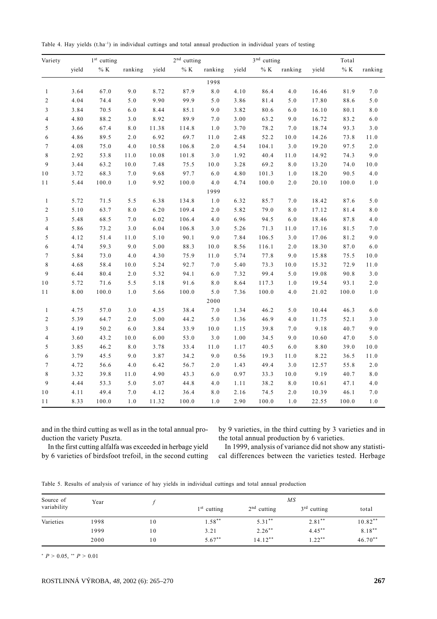Table 4. Hay yields (t.ha<sup>-1</sup>) in individual cuttings and total annual production in individual years of testing

| Variety          |       | $1st$ cutting |          |       | $2^{\rm nd}$ cutting |         |       | $3^{\rm nd}$ cutting |            | Total |        |         |
|------------------|-------|---------------|----------|-------|----------------------|---------|-------|----------------------|------------|-------|--------|---------|
|                  | yield | $\%$ K        | ranking  | yield | $\%$ K               | ranking | yield | $\%$ K               | ranking    | yield | $\%$ K | ranking |
|                  |       |               |          |       |                      | 1998    |       |                      |            |       |        |         |
| $\mathbf{1}$     | 3.64  | 67.0          | 9.0      | 8.72  | 87.9                 | 8.0     | 4.10  | 86.4                 | $4.0$      | 16.46 | 81.9   | 7.0     |
| $\overline{c}$   | 4.04  | 74.4          | 5.0      | 9.90  | 99.9                 | 5.0     | 3.86  | 81.4                 | $5.0$      | 17.80 | 88.6   | 5.0     |
| 3                | 3.84  | 70.5          | 6.0      | 8.44  | 85.1                 | 9.0     | 3.82  | 80.6                 | $6.0\,$    | 16.10 | 80.1   | 8.0     |
| $\overline{4}$   | 4.80  | 88.2          | $3.0$    | 8.92  | 89.9                 | 7.0     | 3.00  | 63.2                 | 9.0        | 16.72 | 83.2   | $6.0\,$ |
| $\sqrt{5}$       | 3.66  | 67.4          | $8\,.0$  | 11.38 | 114.8                | $1\,.0$ | 3.70  | 78.2                 | 7.0        | 18.74 | 93.3   | $3.0$   |
| 6                | 4.86  | 89.5          | $2.0\,$  | 6.92  | 69.7                 | 11.0    | 2.48  | 52.2                 | $10.0$     | 14.26 | 73.8   | $11.0$  |
| $\tau$           | 4.08  | 75.0          | 4.0      | 10.58 | 106.8                | 2.0     | 4.54  | 104.1                | 3.0        | 19.20 | 97.5   | $2.0\,$ |
| $\,8\,$          | 2.92  | 53.8          | $1\,1.0$ | 10.08 | 101.8                | 3.0     | 1.92  | 40.4                 | $11.0\,$   | 14.92 | 74.3   | 9.0     |
| $\mathbf{9}$     | 3.44  | 63.2          | 10.0     | 7.48  | 75.5                 | 10.0    | 3.28  | 69.2                 | $8.0\,$    | 13.20 | 74.0   | 10.0    |
| 10               | 3.72  | 68.3          | $7.0\,$  | 9.68  | 97.7                 | $6.0\,$ | 4.80  | 101.3                | 1.0        | 18.20 | 90.5   | $4.0$   |
| 11               | 5.44  | 100.0         | 1.0      | 9.92  | 100.0                | 4.0     | 4.74  | 100.0                | 2.0        | 20.10 | 100.0  | $1.0\,$ |
|                  |       |               |          |       |                      | 1999    |       |                      |            |       |        |         |
| $\mathbf{1}$     | 5.72  | 71.5          | 5.5      | 6.38  | 134.8                | 1.0     | 6.32  | 85.7                 | 7.0        | 18.42 | 87.6   | 5.0     |
| $\sqrt{2}$       | 5.10  | 63.7          | $8\,.0$  | 6.20  | 109.4                | $2.0\,$ | 5.82  | 79.0                 | $8.0$      | 17.12 | 81.4   | $8\,.0$ |
| $\mathfrak{Z}$   | 5.48  | 68.5          | 7.0      | 6.02  | 106.4                | 4.0     | 6.96  | 94.5                 | 6.0        | 18.46 | 87.8   | $4.0\,$ |
| $\overline{4}$   | 5.86  | 73.2          | $3.0$    | 6.04  | 106.8                | $3.0$   | 5.26  | 71.3                 | $1\,1\,.0$ | 17.16 | 81.5   | 7.0     |
| 5                | 4.12  | 51.4          | 11.0     | 5.10  | 90.1                 | 9.0     | 7.84  | $106.5\,$            | 3.0        | 17.06 | 81.2   | 9.0     |
| 6                | 4.74  | 59.3          | 9.0      | 5.00  | 88.3                 | 10.0    | 8.56  | 116.1                | 2.0        | 18.30 | 87.0   | 6.0     |
| $\boldsymbol{7}$ | 5.84  | 73.0          | $4.0\,$  | 4.30  | 75.9                 | 11.0    | 5.74  | 77.8                 | 9.0        | 15.88 | 75.5   | $10.0$  |
| $\,$ 8 $\,$      | 4.68  | 58.4          | $10.0\,$ | 5.24  | 92.7                 | 7.0     | 5.40  | 73.3                 | $10.0\,$   | 15.32 | 72.9   | $11.0$  |
| 9                | 6.44  | 80.4          | $2.0\,$  | 5.32  | 94.1                 | $6.0\,$ | 7.32  | 99.4                 | 5.0        | 19.08 | 90.8   | $3.0$   |
| 10               | 5.72  | 71.6          | 5.5      | 5.18  | 91.6                 | $8.0\,$ | 8.64  | 117.3                | 1.0        | 19.54 | 93.1   | 2.0     |
| 11               | 8.00  | 100.0         | 1.0      | 5.66  | 100.0                | 5.0     | 7.36  | 100.0                | 4.0        | 21.02 | 100.0  | 1.0     |
|                  |       |               |          |       |                      | 2000    |       |                      |            |       |        |         |
| $\mathbf{1}$     | 4.75  | 57.0          | 3.0      | 4.35  | 38.4                 | $7.0\,$ | 1.34  | 46.2                 | $5.0$      | 10.44 | 46.3   | 6.0     |
| $\overline{c}$   | 5.39  | 64.7          | 2.0      | 5.00  | 44.2                 | $5.0\,$ | 1.36  | 46.9                 | 4.0        | 11.75 | 52.1   | $3.0$   |
| 3                | 4.19  | 50.2          | 6.0      | 3.84  | 33.9                 | 10.0    | 1.15  | 39.8                 | 7.0        | 9.18  | 40.7   | 9.0     |
| $\overline{4}$   | 3.60  | 43.2          | $10.0\,$ | 6.00  | 53.0                 | $3.0$   | 1.00  | 34.5                 | 9.0        | 10.60 | 47.0   | 5.0     |
| 5                | 3.85  | 46.2          | $8\,.0$  | 3.78  | 33.4                 | 11.0    | 1.17  | 40.5                 | 6.0        | 8.80  | 39.0   | 10.0    |
| 6                | 3.79  | 45.5          | 9.0      | 3.87  | 34.2                 | 9.0     | 0.56  | 19.3                 | $1\,1.0$   | 8.22  | 36.5   | 11.0    |
| $\tau$           | 4.72  | 56.6          | 4.0      | 6.42  | 56.7                 | $2.0\,$ | 1.43  | 49.4                 | 3.0        | 12.57 | 55.8   | $2.0$   |
| $\,$ 8 $\,$      | 3.32  | 39.8          | 11.0     | 4.90  | 43.3                 | $6.0\,$ | 0.97  | 33.3                 | $10.0\,$   | 9.19  | 40.7   | $8\,.0$ |
| 9                | 4.44  | 53.3          | $5.0\,$  | 5.07  | 44.8                 | 4.0     | 1.11  | 38.2                 | $8.0\,$    | 10.61 | 47.1   | 4.0     |
| $1\,0$           | 4.11  | 49.4          | $7.0\,$  | 4.12  | 36.4                 | $8.0\,$ | 2.16  | 74.5                 | 2.0        | 10.39 | 46.1   | $7.0\,$ |
| 11               | 8.33  | 100.0         | 1.0      | 11.32 | 100.0                | 1.0     | 2.90  | 100.0                | 1.0        | 22.55 | 100.0  | 1.0     |

and in the third cutting as well as in the total annual production the variety Puszta.

by 9 varieties, in the third cutting by 3 varieties and in the total annual production by 6 varieties.

In the first cutting alfalfa was exceeded in herbage yield by 6 varieties of birdsfoot trefoil, in the second cutting

In 1999, analysis of variance did not show any statistical differences between the varieties tested. Herbage

Table 5. Results of analysis of variance of hay yields in individual cuttings and total annual production

| Source of   | Year |    | $\overline{MS}$ |               |               |           |  |
|-------------|------|----|-----------------|---------------|---------------|-----------|--|
| variability |      |    | $1st$ cutting   | $2nd$ cutting | $3rd$ cutting | total     |  |
| Varieties   | 1998 | 10 | $1.58***$       | $5.31***$     | $2.81***$     | $10.82**$ |  |
|             | 1999 | 10 | 3.21            | $2.26***$     | $4.45***$     | $8.18***$ |  |
|             | 2000 | 10 | $5.67***$       | $14.12***$    | $1.22***$     | $46.70**$ |  |

\*  $P > 0.05$ , \*\*  $P > 0.01$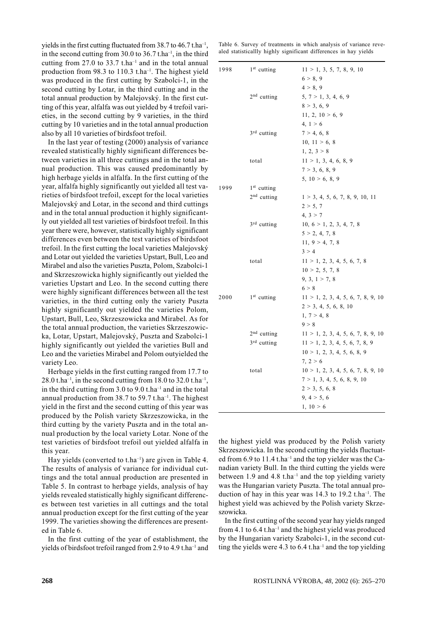yields in the first cutting fluctuated from 38.7 to  $46.7$  t.ha<sup>-1</sup>, in the second cutting from 30.0 to 36.7 t.ha<sup>-1</sup>, in the third cutting from 27.0 to 33.7 t.ha<sup>-1</sup> and in the total annual production from 98.3 to 110.3 t.ha<sup>-1</sup>. The highest yield was produced in the first cutting by Szabolci-1, in the second cutting by Lotar, in the third cutting and in the total annual production by Malejovský. In the first cutting of this year, alfalfa was out yielded by 4 trefoil varieties, in the second cutting by 9 varieties, in the third cutting by 10 varieties and in the total annual production also by all 10 varieties of birdsfoot trefoil.

In the last year of testing (2000) analysis of variance revealed statistically highly significant differences between varieties in all three cuttings and in the total annual production. This was caused predominantly by high herbage vields in alfalfa. In the first cutting of the year, alfalfa highly significantly out yielded all test varieties of birdsfoot trefoil, except for the local varieties Malejovský and Lotar, in the second and third cuttings and in the total annual production it highly significantly out yielded all test varieties of birdsfoot trefoil. In this vear there were, however, statistically highly significant differences even between the test varieties of birdsfoot trefoil. In the first cutting the local varieties Malejovský and Lotar out yielded the varieties Upstart, Bull, Leo and Mirabel and also the varieties Puszta, Polom, Szabolci-1 and Skrzeszowicka highly significantly out yielded the varieties Upstart and Leo. In the second cutting there were highly significant differences between all the test varieties, in the third cutting only the variety Puszta highly significantly out yielded the varieties Polom, Upstart, Bull, Leo, Skrzeszowicka and Mirabel. As for the total annual production, the varieties Skrzeszowicka, Lotar, Upstart, Malejovský, Puszta and Szabolci-1 highly significantly out yielded the varieties Bull and Leo and the varieties Mirabel and Polom outyielded the variety Leo.

Herbage yields in the first cutting ranged from 17.7 to  $28.0$  t.ha<sup>-1</sup>, in the second cutting from 18.0 to 32.0 t.ha<sup>-1</sup>, in the third cutting from  $3.0$  to  $9.0$  t.ha<sup>-1</sup> and in the total annual production from 38.7 to 59.7 t.ha<sup>-1</sup>. The highest yield in the first and the second cutting of this year was produced by the Polish variety Skrzeszowicka, in the third cutting by the variety Puszta and in the total annual production by the local variety Lotar. None of the test varieties of birdsfoot trefoil out yielded alfalfa in this year.

Hay yields (converted to  $t.ha^{-1}$ ) are given in Table 4. The results of analysis of variance for individual cuttings and the total annual production are presented in Table 5. In contrast to herbage yields, analysis of hay yields revealed statistically highly significant differences between test varieties in all cuttings and the total annual production except for the first cutting of the year 1999. The varieties showing the differences are presented in Table 6.

In the first cutting of the year of establishment, the yields of birdsfoot trefoil ranged from 2.9 to 4.9 t.ha<sup>-1</sup> and Table 6. Survey of treatments in which analysis of variance revealed statisticallly highly significant differences in hay yields

| 1998 | $1st$ cutting           | 11 > 1, 3, 5, 7, 8, 9, 10          |
|------|-------------------------|------------------------------------|
|      |                         | 6 > 8, 9                           |
|      |                         | 4 > 8, 9                           |
|      | 2 <sup>nd</sup> cutting | 5, 7 > 1, 3, 4, 6, 9               |
|      |                         | 8 > 3, 6, 9                        |
|      |                         | 11, 2, 10 > 6, 9                   |
|      |                         | 4, 1 > 6                           |
|      | $3rd$ cutting           | 7 > 4, 6, 8                        |
|      |                         | 10, $11 > 6$ , 8                   |
|      |                         | 1, 2, 3 > 8                        |
|      | total                   | 11 > 1, 3, 4, 6, 8, 9              |
|      |                         | 7 > 3, 6, 8, 9                     |
|      |                         | 5, 10 > 6, 8, 9                    |
| 1999 | $1st$ cutting           |                                    |
|      | 2 <sup>nd</sup> cutting | 1 > 3, 4, 5, 6, 7, 8, 9, 10, 11    |
|      |                         | 2 > 5, 7                           |
|      |                         | 4, 3 > 7                           |
|      | $3rd$ cutting           | 10, 6 > 1, 2, 3, 4, 7, 8           |
|      |                         | 5 > 2, 4, 7, 8                     |
|      |                         | 11, 9 > 4, 7, 8                    |
|      |                         | 3 > 4                              |
|      | total                   | 11 > 1, 2, 3, 4, 5, 6, 7, 8        |
|      |                         | 10 > 2, 5, 7, 8                    |
|      |                         | 9, 3, 1 > 7, 8                     |
|      |                         | 6 > 8                              |
| 2000 | $1st$ cutting           | 11 > 1, 2, 3, 4, 5, 6, 7, 8, 9, 10 |
|      |                         | 2 > 3, 4, 5, 6, 8, 10              |
|      |                         | 1, 7 > 4, 8                        |
|      |                         | 9 > 8                              |
|      | $2nd$ cutting           | 11 > 1, 2, 3, 4, 5, 6, 7, 8, 9, 10 |
|      | $3rd$ cutting           | 11 > 1, 2, 3, 4, 5, 6, 7, 8, 9     |
|      |                         | 10 > 1, 2, 3, 4, 5, 6, 8, 9        |
|      |                         | 7, 2 > 6                           |
|      | total                   | 10 > 1, 2, 3, 4, 5, 6, 7, 8, 9, 10 |
|      |                         | 7 > 1, 3, 4, 5, 6, 8, 9, 10        |
|      |                         | 2 > 3, 5, 6, 8                     |
|      |                         | 9, 4 > 5, 6                        |
|      |                         | 1, 10 > 6                          |

the highest yield was produced by the Polish variety Skrzeszowicka. In the second cutting the yields fluctuated from 6.9 to 11.4 t.ha<sup>-1</sup> and the top yielder was the Canadian variety Bull. In the third cutting the yields were between 1.9 and 4.8 t.ha<sup>-1</sup> and the top yielding variety was the Hungarian variety Puszta. The total annual production of hay in this year was 14.3 to 19.2 t.ha<sup>-1</sup>. The highest yield was achieved by the Polish variety Skrzeszowicka.

In the first cutting of the second year hay yields ranged from 4.1 to  $6.4$  t.ha<sup>-1</sup> and the highest yield was produced by the Hungarian variety Szabolci-1, in the second cutting the yields were 4.3 to  $6.4$  t.ha<sup>-1</sup> and the top yielding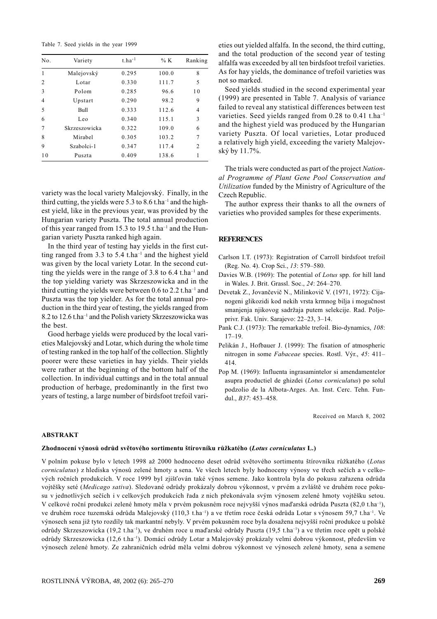Table 7. Seed yields in the year 1999

| No.            | Variety       | $t.ha^{-1}$ | % $K$ | Ranking |
|----------------|---------------|-------------|-------|---------|
| 1              | Malejovský    | 0.295       | 100.0 | 8       |
| $\overline{c}$ | Lotar         | 0.330       | 111.7 | 5       |
| 3              | Polom         | 0.285       | 96.6  | 10      |
| $\overline{4}$ | Upstart       | 0.290       | 98.2  | 9       |
| 5              | Bull          | 0.333       | 112.6 | 4       |
| 6              | Leo           | 0.340       | 115.1 | 3       |
| 7              | Skrzeszowicka | 0.322       | 109.0 | 6       |
| 8              | Mirahel       | 0.305       | 103.2 | 7       |
| 9              | Szabolci-1    | 0.347       | 117.4 | 2       |
| 1 <sub>0</sub> | Puszta        | 0.409       | 138.6 | 1       |

variety was the local variety Malejovský. Finally, in the third cutting, the yields were 5.3 to 8.6 t.ha<sup>-1</sup> and the highest yield, like in the previous year, was provided by the Hungarian variety Puszta. The total annual production of this year ranged from 15.3 to 19.5 t.ha<sup>-1</sup> and the Hungarian variety Puszta ranked high again.

In the third year of testing hay yields in the first cutting ranged from 3.3 to 5.4  $t.ha^{-1}$  and the highest yield was given by the local variety Lotar. In the second cutting the yields were in the range of 3.8 to 6.4 t.ha<sup>-1</sup> and the top yielding variety was Skrzeszowicka and in the third cutting the yields were between 0.6 to 2.2 t.ha<sup>-1</sup> and Puszta was the top yielder. As for the total annual production in the third year of testing, the yields ranged from 8.2 to 12.6 t.ha<sup>-1</sup> and the Polish variety Skrzeszowicka was the best.

Good herbage yields were produced by the local varieties Malejovský and Lotar, which during the whole time of testing ranked in the top half of the collection. Slightly poorer were these varieties in hay yields. Their yields were rather at the beginning of the bottom half of the collection. In individual cuttings and in the total annual production of herbage, predominantly in the first two years of testing, a large number of birdsfoot trefoil varieties out yielded alfalfa. In the second, the third cutting, and the total production of the second year of testing alfalfa was exceeded by all ten birdsfoot trefoil varieties. As for hav vields, the dominance of trefoil varieties was not so marked.

Seed yields studied in the second experimental year (1999) are presented in Table 7. Analysis of variance failed to reveal any statistical differences between test varieties. Seed yields ranged from 0.28 to 0.41 t.ha<sup>-1</sup> and the highest yield was produced by the Hungarian variety Puszta. Of local varieties, Lotar produced a relatively high yield, exceeding the variety Malejovský by 11.7%.

The trials were conducted as part of the project National Programme of Plant Gene Pool Conservation and Utilization funded by the Ministry of Agriculture of the Czech Republic.

The author express their thanks to all the owners of varieties who provided samples for these experiments.

## **REFERENCES**

- Carlson I.T. (1973): Registration of Carroll birdsfoot trefoil (Reg. No. 4). Crop Sci., 13: 579-580.
- Davies W.B. (1969): The potential of Lotus spp. for hill land in Wales. J. Brit. Grassl. Soc., 24: 264-270.
- Devetak Z., Jovančevič N., Milinkovič V. (1971, 1972): Cijanogeni glikozidi kod nekih vrsta krmnog bilja i mogučnost smanjenja njikovog sadržaja putem selekcije. Rad. Poljoprivr. Fak. Univ. Sarajevo: 22-23, 3-14.
- Pank C.J. (1973): The remarkable trefoil. Bio-dynamics, 108:  $17 - 19$ .
- Pelikán J., Hofbauer J. (1999): The fixation of atmospheric nitrogen in some Fabaceae species. Rostl. Výr., 45: 411-414
- Pop M. (1969): Influenta ingrasamintelor si amendamentelor asupra productiel de ghizdei (Lotus corniculatus) po solul podzolio de la Albota-Arges. An. Inst. Cerc. Tehn. Fundul., B37: 453-458.

Received on March 8, 2002

#### **ABSTRAKT**

#### Zhodnocení výnosů odrůd světového sortimentu štírovníku růžkatého (Lotus corniculatus L.)

V polním pokuse bylo v letech 1998 až 2000 hodnoceno deset odrůd světového sortimentu štírovníku růžkatého (Lotus corniculatus) z hlediska výnosů zelené hmoty a sena. Ve všech letech byly hodnoceny výnosy ve třech sečích a v celkových ročních produkcích. V roce 1999 byl zjišťován také výnos semene. Jako kontrola byla do pokusu zařazena odrůda vojtěšky seté (Medicago sativa). Sledované odrůdy prokázaly dobrou výkonnost, v prvém a zvláště ve druhém roce pokusu v jednotlivých sečích i v celkových produkcích řada z nich překonávala svým výnosem zelené hmoty vojtěšku setou. V celkové roční produkci zelené hmoty měla v prvém pokusném roce nejvyšší výnos maďarská odrůda Puszta (82,0 t.ha<sup>-1</sup>), ve druhém roce tuzemská odrůda Malejovský (110,3 t.ha<sup>-1</sup>) a ve třetím roce česká odrůda Lotar s výnosem 59,7 t.ha<sup>-1</sup>. Ve výnosech sena již tyto rozdíly tak markantní nebyly. V prvém pokusném roce byla dosažena nejvyšší roční produkce u polské odrůdy Skrzeszowicka (19,2 t.ha<sup>-1</sup>), ve druhém roce u maďarské odrůdy Puszta (19,5 t.ha<sup>-1</sup>) a ve třetím roce opět u polské odrůdy Skrzeszowicka (12,6 t.ha<sup>-1</sup>). Domácí odrůdy Lotar a Malejovský prokázaly velmi dobrou výkonnost, především ve výnosech zelené hmoty. Ze zahraničních odrůd měla velmi dobrou výkonnost ve výnosech zelené hmoty, sena a semene